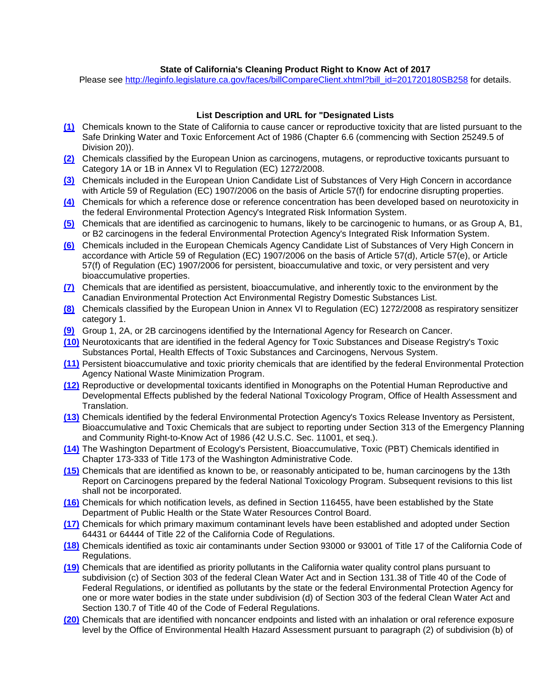## **State of California's Cleaning Product Right to Know Act of 2017**

Please see [http://leginfo.legislature.ca.gov/faces/billCompareClient.xhtml?bill\\_id=201720180SB258](http://leginfo.legislature.ca.gov/faces/billCompareClient.xhtml?bill_id=201720180SB258) for details.

## **List Description and URL for "Designated Lists**

- **[\(1\)](https://oehha.ca.gov/proposition-65/proposition-65-list)** Chemicals known to the State of California to cause cancer or reproductive toxicity that are listed pursuant to the Safe Drinking Water and Toxic Enforcement Act of 1986 (Chapter 6.6 (commencing with Section 25249.5 of Division 20)).
- **[\(2\)](https://ec.europa.eu/docsroom/documents/11382/attachments/1/translations)** Chemicals classified by the European Union as carcinogens, mutagens, or reproductive toxicants pursuant to Category 1A or 1B in Annex VI to Regulation (EC) 1272/2008.
- **[\(3\)](https://echa.europa.eu/candidate-list-table)** Chemicals included in the European Union Candidate List of Substances of Very High Concern in accordance with Article 59 of Regulation (EC) 1907/2006 on the basis of Article 57(f) for endocrine disrupting properties.
- **[\(4\)](https://cfpub.epa.gov/ncea/iris_drafts/atoz.cfm?list_type=alpha)** Chemicals for which a reference dose or reference concentration has been developed based on neurotoxicity in the federal Environmental Protection Agency's Integrated Risk Information System.
- **[\(5\)](https://cfpub.epa.gov/ncea/iris_drafts/atoz.cfm?list_type=alpha)** Chemicals that are identified as carcinogenic to humans, likely to be carcinogenic to humans, or as Group A, B1, or B2 carcinogens in the federal Environmental Protection Agency's Integrated Risk Information System.
- **[\(6\)](https://echa.europa.eu/candidate-list-table)** Chemicals included in the European Chemicals Agency Candidate List of Substances of Very High Concern in accordance with Article 59 of Regulation (EC) 1907/2006 on the basis of Article 57(d), Article 57(e), or Article 57(f) of Regulation (EC) 1907/2006 for persistent, bioaccumulative and toxic, or very persistent and very bioaccumulative properties.
- **[\(7\)](https://www.canada.ca/en/environment-climate-change/services/canadian-environmental-protection-act-registry.html#summary-details0)** Chemicals that are identified as persistent, bioaccumulative, and inherently toxic to the environment by the Canadian Environmental Protection Act Environmental Registry Domestic Substances List.
- **[\(8\)](https://echa.europa.eu/candidate-list-table)** Chemicals classified by the European Union in Annex VI to Regulation (EC) 1272/2008 as respiratory sensitizer category 1.
- **[\(9\)](https://monographs.iarc.fr/list-of-classifications-volumes/)** Group 1, 2A, or 2B carcinogens identified by the International Agency for Research on Cancer.
- **[\(10\)](https://www.atsdr.cdc.gov/substances/toxorganlisting.asp?sysid=18)** Neurotoxicants that are identified in the federal Agency for Toxic Substances and Disease Registry's Toxic Substances Portal, Health Effects of Toxic Substances and Carcinogens, Nervous System.
- **[\(11\)](https://archive.epa.gov/epawaste/hazard/wastemin/web/html/priority.html)** Persistent bioaccumulative and toxic priority chemicals that are identified by the federal Environmental Protection Agency National Waste Minimization Program.
- **[\(12\)](https://ntp.niehs.nih.gov/pubhealth/hat/noms/evals.html)** Reproductive or developmental toxicants identified in Monographs on the Potential Human Reproductive and Developmental Effects published by the federal National Toxicology Program, Office of Health Assessment and Translation.
- **[\(13\)](https://www.epa.gov/toxics-release-inventory-tri-program/persistent-bioaccumulative-toxic-pbt-chemicals-covered-tri)** Chemicals identified by the federal Environmental Protection Agency's Toxics Release Inventory as Persistent, Bioaccumulative and Toxic Chemicals that are subject to reporting under Section 313 of the Emergency Planning and Community Right-to-Know Act of 1986 (42 U.S.C. Sec. 11001, et seq.).
- **[\(14\)](https://apps.leg.wa.gov/wac/default.aspx?cite=173-333-310)** The Washington Department of Ecology's Persistent, Bioaccumulative, Toxic (PBT) Chemicals identified in Chapter 173-333 of Title 173 of the Washington Administrative Code.
- **[\(15\)](https://ntp.niehs.nih.gov/pubhealth/roc/listings/index.html)** Chemicals that are identified as known to be, or reasonably anticipated to be, human carcinogens by the 13th Report on Carcinogens prepared by the federal National Toxicology Program. Subsequent revisions to this list shall not be incorporated.
- **[\(16\)](https://www.waterboards.ca.gov/drinking_water/certlic/drinkingwater/documents/notificationlevels/notificationlevels.pdf)** Chemicals for which notification levels, as defined in Section 116455, have been established by the State Department of Public Health or the State Water Resources Control Board.
- **[\(17\)](https://www.waterboards.ca.gov/drinking_water/certlic/drinkingwater/Lawbook.html)** Chemicals for which primary maximum contaminant levels have been established and adopted under Section 64431 or 64444 of Title 22 of the California Code of Regulations.
- **[\(18\)](https://www.arb.ca.gov/toxics/id/taclist.htm)** Chemicals identified as toxic air contaminants under Section 93000 or 93001 of Title 17 of the California Code of Regulations.
- **[\(19\)](https://www.govinfo.gov/content/pkg/CFR-2010-title40-vol21/pdf/CFR-2010-title40-vol21-sec131-38.pdf)** Chemicals that are identified as priority pollutants in the California water quality control plans pursuant to subdivision (c) of Section 303 of the federal Clean Water Act and in Section 131.38 of Title 40 of the Code of Federal Regulations, or identified as pollutants by the state or the federal Environmental Protection Agency for one or more water bodies in the state under subdivision (d) of Section 303 of the federal Clean Water Act and Section 130.7 of Title 40 of the Code of Federal Regulations.
- **[\(20\)](https://oehha.ca.gov/air/general-info/oehha-acute-8-hour-and-chronic-reference-exposure-level-rel-summary)** Chemicals that are identified with noncancer endpoints and listed with an inhalation or oral reference exposure level by the Office of Environmental Health Hazard Assessment pursuant to paragraph (2) of subdivision (b) of